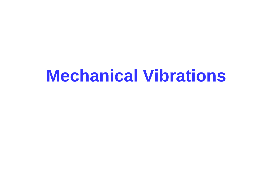# **Mechanical Vibrations**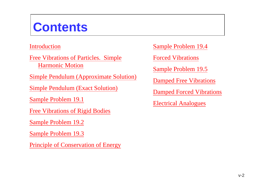## **Contents**

#### [Introduction](#page-2-0)

[Free Vibrations of Particles. Simple](#page-2-0)  [Harmonic Motion](#page-2-0)

[Simple Pendulum \(Approximate Solution\)](#page-2-0)

[Simple Pendulum \(Exact Solution\)](#page-2-0)

[Sample Problem 19.1](#page-2-0)

[Free Vibrations of Rigid Bodies](#page-2-0)

[Sample Problem 19.2](#page-2-0)

[Sample Problem 19.3](#page-2-0)

[Principle of Conservation of Energy](#page-2-0)

[Sample Problem 19.4](#page-2-0)

[Forced Vibrations](#page-2-0)

[Sample Problem 19.5](#page-2-0)

[Damped Free Vibrations](#page-2-0)

[Damped Forced Vibrations](#page-2-0)

[Electrical Analogues](#page-2-0)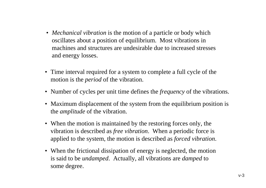- <span id="page-2-0"></span>• *Mechanical vibration* is the motion of a particle or body which oscillates about a position of equilibrium. Most vibrations in machines and structures are undesirable due to increased stresses and energy losses.
- Time interval required for a system to complete a full cycle of the motion is the *period* of the vibration.
- Number of cycles per unit time defines the *frequency* of the vibrations.
- Maximum displacement of the system from the equilibrium position is the *amplitude* of the vibration.
- When the motion is maintained by the restoring forces only, the vibration is described as *free vibration*. When a periodic force is applied to the system, the motion is described as *forced vibration*.
- When the frictional dissipation of energy is neglected, the motion is said to be *undamped*. Actually, all vibrations are *damped* to some degree.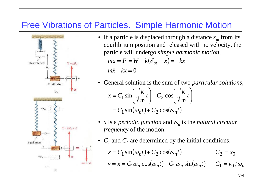### Free Vibrations of Particles. Simple Harmonic Motion



- If a particle is displaced through a distance  $x_m$  from its equilibrium position and released with no velocity, the particle will undergo *simple harmonic motion*,  $ma = F = W - k(\delta_{st} + x) = -kx$ m $\ddot{x}+kx=0$
- General solution is the sum of two *particular solutions*,  $=C_1 \sin(\omega_n t) + C_2 \cos(\omega_n t)$ *t mk* $t$  +  $C_2$  cos  $\vert$ . *mk* $x = C_1 \sin \left( \sqrt{\frac{\kappa}{m}} t \right) + C_2 \cos \left( \sqrt{\frac{\kappa}{m}} t \right)$  $\int$  $\left(\sqrt{\frac{k}{m}}t\right)$ ⎝  $\bigg($  $\Big\| +$  $\int$  $\left(\sqrt{\frac{k}{m}}t\right)$ ⎝  $\bigg($ =
	- *x* is a *periodic function* and  $\omega_n$  is the *natural circular frequency* of the motion.
- $C_1$  and  $C_2$  are determined by the initial conditions:

 $x = C_1 \sin(\omega_n t) + C_2 \cos(\omega_n t)$   $C_2 = x_0$  $v = \dot{x} = C_1 \omega_n \cos(\omega_n t) - C_2 \omega_n \sin(\omega_n t)$   $C_1 = v_0/\omega_n$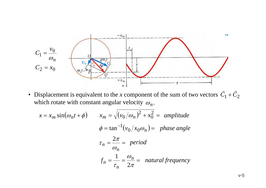

• Displacement is equivalent to the *x* component of the sum of two vectors  $C_1 + C_2$ which rotate with constant angular velocity  $\omega_n.$  $\vec{C}_1+\vec{C}$ 

$$
x = x_m \sin(\omega_n t + \phi) \qquad x_m = \sqrt{(v_0/\omega_n)^2 + x_0^2} = \text{ amplitude}
$$
  

$$
\phi = \tan^{-1}(v_0/x_0\omega_n) = \text{ phase angle}
$$
  

$$
\tau_n = \frac{2\pi}{\omega_n} = \text{period}
$$
  

$$
f_n = \frac{1}{\tau_n} = \frac{\omega_n}{2\pi} = \text{ natural frequency}
$$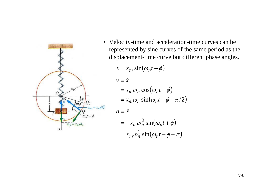

• Velocity-time and acceleration-time curves can be represented by sine curves of the same period as the displacement-time curve but different phase angles.

$$
x = x_m \sin(\omega_n t + \phi)
$$
  
\n
$$
v = \dot{x}
$$
  
\n
$$
= x_m \omega_n \cos(\omega_n t + \phi)
$$
  
\n
$$
= x_m \omega_n \sin(\omega_n t + \phi + \pi/2)
$$
  
\n
$$
a = \dot{x}
$$
  
\n
$$
= -x_m \omega_n^2 \sin(\omega_n t + \phi)
$$
  
\n
$$
= x_m \omega_n^2 \sin(\omega_n t + \phi + \pi)
$$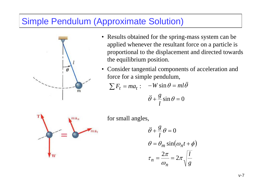### Simple Pendulum (Approximate Solution)



- Results obtained for the spring-mass system can be applied whenever the resultant force on a particle is proportional to the displacement and directed towards the equilibrium position.
- Consider tangential components of acceleration and force for a simple pendulum,

$$
\sum F_t = ma_t: \quad -W\sin\theta = ml\ddot{\theta}
$$

$$
\ddot{\theta} + \frac{g}{l}\sin\theta = 0
$$



for small angles,

$$
\ddot{\theta} + \frac{g}{l}\theta = 0
$$

$$
\theta = \theta_m \sin(\omega_n t + \phi)
$$

$$
\tau_n = \frac{2\pi}{\omega_n} = 2\pi \sqrt{\frac{l}{g}}
$$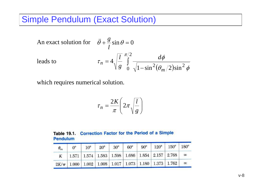### Simple Pendulum (Exact Solution)

An exact solution for 
$$
\ddot{\theta} + \frac{g}{l} \sin \theta = 0
$$
  
leads to  $\tau_n = 4 \sqrt{\frac{l}{g}} \int_0^{\pi/2} \frac{d\phi}{\sqrt{1 - \sin^2(\theta_m/2)\sin^2 \phi}}$ 

which requires numerical solution.

$$
\tau_n = \frac{2K}{\pi} \left( 2\pi \sqrt{\frac{l}{g}} \right)
$$

| Table 19.1. Correction Factor for the Period of a Simple |  |  |  |  |
|----------------------------------------------------------|--|--|--|--|
| <b>Pendulum</b>                                          |  |  |  |  |

| $\theta_m$ | $0^{\circ}$                                                                  | $10^{\circ}$ | $20^{\circ}$ 30° 60° |  | $90^{\circ}$   $120^{\circ}$   $150^{\circ}$   $180^{\circ}$ |  |
|------------|------------------------------------------------------------------------------|--------------|----------------------|--|--------------------------------------------------------------|--|
|            | K   1.571   1.574   1.583   1.598   1.686   1.854   2.157   2.768   $\infty$ |              |                      |  |                                                              |  |
|            | $2K/\pi$ 1.000 1.002 1.008 1.017 1.073 1.180 1.373 1.762 $\infty$            |              |                      |  |                                                              |  |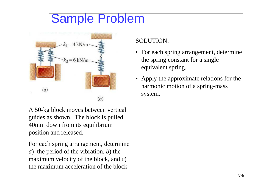## Sample Problem



A 50-kg block moves between vertical guides as shown. The block is pulled 40mm down from its equilibrium position and released.

For each spring arrangement, determine *<sup>a</sup>*) the period of the vibration, *b*) the maximum velocity of the block, and *<sup>c</sup>*) the maximum acceleration of the block.

### SOLUTION:

- For each spring arrangement, determine the spring constant for a single equivalent spring.
- Apply the approximate relations for the harmonic motion of a spring-mass system.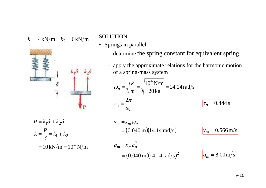$k_1 = 4 \text{kN/m}$   $k_2 = 6 \text{kN/m}$  SOLUTION:



- Springs in parallel:
	- determine the spring constant for equivalent spring

- apply the approximate relations for the harmonic motion of a spring-mass system

$$
\omega_n = \sqrt{\frac{k}{m}} = \sqrt{\frac{10^4 \text{ N/m}}{20 \text{ kg}}} = 14.14 \text{ rad/s}
$$

$$
\tau_n = \frac{2\pi}{\omega_n} \qquad \boxed{\tau_n = 0.444 \text{ s}}
$$

$$
P = k_1 \delta + k_2 \delta
$$
  
\n
$$
k = \frac{P}{\delta} = k_1 + k_2
$$
  
\n
$$
= 10 \text{kN/m} = 10^4 \text{ N/m}
$$

$$
v_m = x_m \omega_n
$$
  
= (0.040 m)(14.14 rad/s) 
$$
v_m = 0.566 \text{ m/s}
$$

$$
a_m = x_m a_n^2
$$
  
= (0.040 m)(14.14 rad/s)<sup>2</sup> 
$$
a_m = 8.00 m/s^2
$$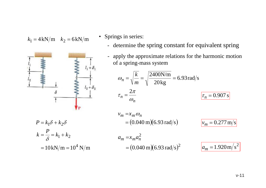$k_1 = 4 \text{kN/m}$   $k_2 = 6 \text{kN/m}$   $\bullet$  Springs in series:



- - determine the spring constant for equivalent spring
	- apply the approximate relations for the harmonic motion of a spring-mass system

$$
\omega_n = \sqrt{\frac{k}{m}} = \sqrt{\frac{2400 \text{N/m}}{20 \text{kg}}} = 6.93 \text{ rad/s}
$$

$$
\tau_n = \frac{2\pi}{\omega_n} \qquad \boxed{\tau_n = 0.907 \text{ s}}
$$

$$
v_m = x_m \omega_n
$$
  
= (0.040 m)(6.93 rad/s) 
$$
v_m = 0.277 m/s
$$

 $=10 \text{kN/m} = 10^4 \text{ N/m}$  $k = \frac{P}{s} = k_1 + k_2$  $P = k_1 \delta + k_2 \delta$  $\delta$ 

 $= (0.040 \text{ m})(6.93 \text{ rad/s})^2$   $a_m = 1.920 \text{ m/s}$  $a_m = x_m a_n^2$ 

$$
a_m = 1.920 \,\mathrm{m/s^2}
$$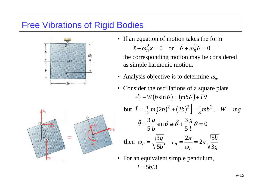### Free Vibrations of Rigid Bodies



- If an equation of motion takes the form 0 or  $\theta + \omega_n^2 \theta = 0$  $\ddot{a}$   $\frac{2}{2}$   $\dot{a}$   $\frac{2}{2}$   $\dot{a}$   $\frac{2}{2}$  $\ddot{x} + \omega_n^2 x = 0$  or  $\ddot{\theta}$  $\theta + \omega_n^2 \theta =$ the corresponding motion may be considered as simple harmonic motion.
- Analysis objective is to determine  $\omega_n$ .
- but  $I=$  $\overline{I} = \frac{1}{12}m\left[(2b)^2 + (2b)^2\right] = \frac{2}{3}mb^2, \quad W = mg$  $\frac{1}{12}m[(2b)^2+(2b)^2]=\frac{2}{3}$ 1  $\frac{\epsilon}{5} \frac{\delta}{b} \theta = 0$ 3 $\frac{3}{5} \frac{8}{b} \sin \theta \approx \theta +$  $\ddot{\theta} + \frac{3}{5} \frac{g}{b} \sin \theta \approx \ddot{\theta} + \frac{3}{5} \frac{g}{b} \theta =$ *g b* $\ddot{q}$  +  $\frac{3}{5}$   $\frac{g}{\sin \theta}$   $\sim \ddot{\theta}$ *g b bg n* $\binom{n}{3}$  \left(3) 5*b*,  $\binom{n}{n}$   $\omega_n$   $\omega_n$  \left(3)  $2\pi$  |  $\frac{5}{5}$ 2 5b  $^{\rm{^\prime}}$ 3then  $\omega_n = \sqrt{\frac{8}{5b}}, \quad \tau_n = \frac{2b}{\omega_n} = 2\pi$  $\omega_n = \sqrt{\frac{3g}{r}}, \quad \tau_n = \frac{2\pi}{r}$ • Consider the oscillations of a square plate  $(b \sin \theta) = (mb \ddot{\theta}) + \bar{I} \ddot{\theta}$ &&&& $-W(b\sin\theta) = (mb\theta) + I$
- For an equivalent simple pendulum,

 $l = 5b/3$ 

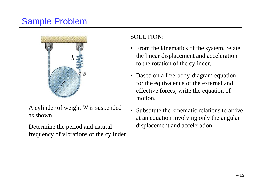### Sample Problem



A cylinder of weight *W* is suspended as shown.

Determine the period and natural frequency of vibrations of the cylinder.

#### SOLUTION:

- From the kinematics of the system, relate the linear displacement and acceleration to the rotation of the cylinder.
- Based on a free-body-diagram equation for the equivalence of the external and effective forces, write the equation of motion.
- Substitute the kinematic relations to arrive at an equation involving only the angular displacement and acceleration.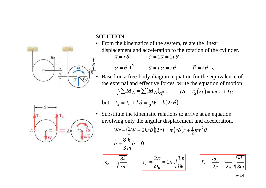SOLUTION:

• From the kinematics of the system, relate the linear displacement and acceleration to the rotation of the cylinder.

$$
\bar{x} = r\theta \qquad \qquad \delta = 2\bar{x} = 2r\theta
$$

$$
\vec{\alpha} = \ddot{\theta} + \hat{d} \qquad \qquad \overline{a} = r\alpha = r\ddot{\theta} \qquad \qquad \overline{\vec{a}} = r\ddot{\theta} + \hat{d}
$$

• Based on a free-body-diagram equation for the equivalence of the external and effective forces, write the equation of motion.

$$
+\sum M_A = \sum (M_A)_{\text{eff}} : \qquad Wr - T_2(2r) = m\overline{a}r + \overline{I}\alpha
$$

but 
$$
T_2 = T_0 + k\delta = \frac{1}{2}W + k(2r\theta)
$$

Substitute the kinematic relations to arrive at an equation involving only the angular displacement and acceleration.

$$
Wr - \left(\frac{1}{2}W + 2kr\theta\right)(2r) = m\left(r\ddot{\theta}\right)r + \frac{1}{2}mr^2\theta
$$

$$
\ddot{\theta} + \frac{8}{3}\frac{k}{m}\theta = 0
$$





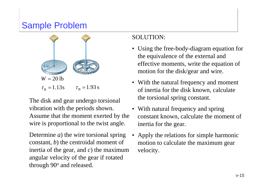### Sample Problem



The disk and gear undergo torsional vibration with the periods shown. Assume that the moment exerted by the wire is proportional to the twist angle.

Determine *a*) the wire torsional spring constant, *b*) the centroidal moment of inertia of the gear, and *c*) the maximum angular velocity of the gear if rotated through 90° and released.

#### SOLUTION:

- Using the free-body-diagram equation for the equivalence of the external and effective moments, write the equation of motion for the disk/gear and wire.
- With the natural frequency and moment of inertia for the disk known, calculate the torsional spring constant.
- With natural frequency and spring constant known, calculate the moment of inertia for the gear.
- Apply the relations for simple harmonic motion to calculate the maximum gear velocity.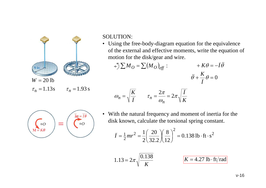

#### SOLUTION:

• Using the free-body-diagram equation for the equivalence of the external and effective moments, write the equation of motion for the disk/gear and wire.

$$
+\mathcal{J}\sum M_O = \sum (M_O)_{\text{eff}} : +K\theta = -\bar{I}\ddot{\theta}
$$

$$
\ddot{\theta} + \frac{K}{\bar{I}}\theta = 0
$$

$$
\omega_n = \sqrt{\frac{K}{\bar{I}}} \qquad \tau_n = \frac{2\pi}{\omega_n} = 2\pi \sqrt{\frac{\bar{I}}{K}}
$$

$$
\left(\begin{matrix} \circ \\ \circ \\ M = K\theta \end{matrix}\right) = \left(\begin{matrix} \overline{I\alpha} = \overline{I}\ddot{\theta} \\ \circ \circ \\ \circ \circ \end{matrix}\right)
$$

• With the natural frequency and moment of inertia for the disk known, calculate the torsional spring constant.

$$
\bar{I} = \frac{1}{2}mr^2 = \frac{1}{2}\left(\frac{20}{32.2}\right)\left(\frac{8}{12}\right)^2 = 0.138 \text{ lb} \cdot \text{ft} \cdot \text{s}^2
$$

$$
1.13 = 2\pi \sqrt{\frac{0.138}{K}}
$$
  $K = 4.27$  lb·ft/rad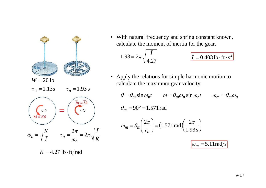

 $K = 4.27$  lb  $\cdot$  ft/rad

• With natural frequency and spring constant known, calculate the moment of inertia for the gear.

$$
1.93 = 2\pi \sqrt{\frac{\bar{I}}{4.27}}
$$
  $\bar{I} = 0.403 \text{ lb} \cdot \text{ft} \cdot \text{s}^2$ 

• Apply the relations for simple harmonic motion to calculate the maximum gear velocity.

 $\theta = \theta_m \sin \omega_n t$   $\omega = \theta_m \omega_n \sin \omega_n t$   $\omega_m = \theta_m \omega_n$  $\theta_m = 90^\circ = 1.571$  rad  $\omega_m = \theta_m \left( \frac{2\pi}{\tau_m} \right) = (1.571 \text{ rad}) \left( \frac{2\pi}{1.93 \text{ s}} \right)$  $\omega_m = 5.11 \text{rad/s}$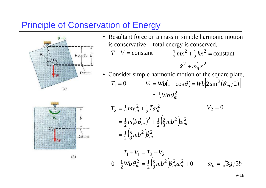### Principle of Conservation of Energy





- Resultant force on a mass in simple harmonic motion is conservative - total energy is conserved.  $T+V = \mathrm{constant}$  $\omega_n^- x^- =$  $+\frac{1}{2}kx^2=$  $\dot{x}^2 + \omega_n^2 x^2$  $\frac{1}{2}kx^2$  $rac{1}{2}m\dot{x}^2 + \frac{1}{2}$  $\frac{1}{2}m\dot{x}^2 + \frac{1}{2}kx^2$  = constant &
- Consider simple harmonic motion of the square plate,  $T_1=0$  $V_1 = Wb(1-\cos\theta) = Wb\left[2\sin^2(\theta_m/2)\right]$  $\frac{1}{2}Wb\,\theta_m^2$  $\cong \frac{1}{2}Wb\theta_m^2$

$$
T_2 = \frac{1}{2} m \overline{v}_m^2 + \frac{1}{2} \overline{I} \omega_m^2
$$
  
=  $\frac{1}{2} m (b \dot{\theta}_m)^2 + \frac{1}{2} (\frac{2}{3} m b^2) \omega_m^2$   
=  $\frac{1}{2} (\frac{5}{3} m b^2) \dot{\theta}_m^2$ 

$$
T_1 + V_1 = T_2 + V_2
$$
  
 
$$
0 + \frac{1}{2}Wb\theta_m^2 = \frac{1}{2}\left(\frac{5}{3}mb^2\right)\theta_m^2\omega_n^2 + 0 \qquad \omega_n = \sqrt{3g/5b}
$$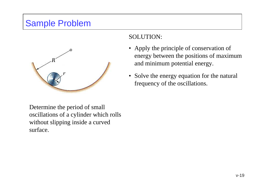### Sample Problem



SOLUTION:

- Apply the principle of conservation of energy between the positions of maximum and minimum potential energy.
- Solve the energy equation for the natural frequency of the oscillations.

Determine the period of small oscillations of a cylinder which rolls without slipping inside a curved surface.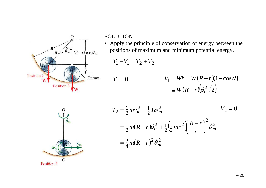

SOLUTION:

• Apply the principle of conservation of energy between the positions of maximum and minimum potential energy.

 $T_1 + V_1 = T_2 + V_2$ 

$$
T_1 = 0
$$
  
 
$$
V_1 = Wh = W(R - r)(1 - \cos \theta)
$$
  
 
$$
\cong W(R - r)(\theta_m^2/2)
$$



$$
T_2 = \frac{1}{2} m \overline{v}_m^2 + \frac{1}{2} \overline{I} \omega_m^2
$$
  
\n
$$
= \frac{1}{2} m (R - r) \dot{\theta}_m^2 + \frac{1}{2} \left( \frac{1}{2} m r^2 \right) \left( \frac{R - r}{r} \right)^2 \dot{\theta}_m^2
$$
  
\n
$$
= \frac{3}{4} m (R - r)^2 \dot{\theta}_m^2
$$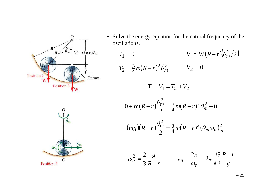

• Solve the energy equation for the natural frequency of the oscillations.

$$
T_1 = 0 \qquad V_1 \cong W(R - r)\left(\frac{\theta_m^2}{2}\right)
$$
  
\n
$$
T_2 = \frac{3}{4}m(R - r)^2\dot{\theta}_m^2 \qquad V_2 = 0
$$
  
\n
$$
T_1 + V_1 = T_2 + V_2
$$
  
\n
$$
\theta_1^2
$$



$$
0 + W(R - r)\frac{\theta_m^2}{2} = \frac{3}{4}m(R - r)^2\dot{\theta}_m^2 + 0
$$
  
(mg)(R - r) $\frac{\theta_m^2}{2} = \frac{3}{4}m(R - r)^2(\theta_m\omega_n)_m^2$ 

$$
\omega_n^2 = \frac{2}{3} \frac{g}{R-r} \qquad \qquad \left| \tau_n = \frac{2\pi}{\omega_n} = 2\pi \sqrt{\frac{3}{2} \frac{R-r}{g}} \right|
$$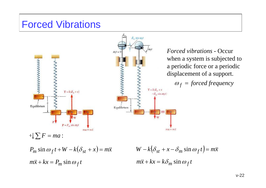### Forced Vibrations

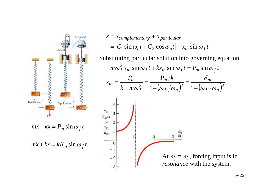

 $m\ddot{x} + kx = k\delta_m \sin \omega_f t$ 

$$
x = x_{complementary} + x_{particular}
$$
  
=  $[C_1 \sin \omega_n t + C_2 \cos \omega_n t] + x_m \sin \omega_f t$ 

Substituting particular solution into governing equation, $-m\omega_f^2 x_m \sin \omega_f t + k x_m \sin \omega_f t = P_m \sin \omega_f t$ *kP*  $\delta$  $x_m = \frac{P_l}{\sqrt{P_l}}$  $m = \frac{m}{n}$ *m m* = = =  $\frac{2}{f}^{-1} - \big(\omega_{f}/\omega_{n}\big)^{2}$   $^{-1} - \big(\omega_{f}/\omega_{n}\big)^{2}$ *mk*  $\omega_{\rm f}$  - 1 -  $\omega_{\rm f}/\omega_{\rm g}$  - 1 - $\omega_{f}/\omega$ − *f* −  $f/\omega_n$  $\frac{x_m}{P_m/k}$  3  $\overline{or}$  $\frac{x_m}{\delta_m}$  $\theta$  $-1$ At  $\omega_f = \omega_n$ , forcing input is in  $-2$ *resonance* with the system.  $-3$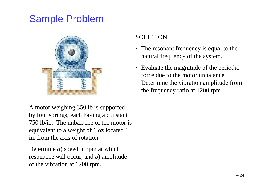## Sample Problem



SOLUTION:

- The resonant frequency is equal to the natural frequency of the system.
- Evaluate the magnitude of the periodic force due to the motor unbalance. Determine the vibration amplitude from the frequency ratio at 1200 rpm.

A motor weighing 350 lb is supported by four springs, each having a constant 750 lb/in. The unbalance of the motor is equivalent to a weight of 1 oz located 6 in. from the axis of rotation.

Determine *<sup>a</sup>*) speed in rpm at which resonance will occur, and *b*) amplitude of the vibration at 1200 rpm.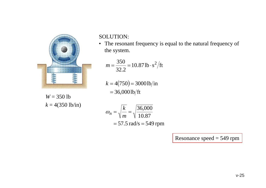

SOLUTION:

• The resonant frequency is equal to the natural frequency of the system.

$$
m = \frac{350}{32.2} = 10.87 \,\text{lb} \cdot \text{s}^2/\text{ft}
$$

 $k = 4(750) = 30001b/$ in  $=$  36,0001b/ft

$$
W = 350
$$
 lb  
 $k = 4(350 \text{ lb/in})$ 

$$
\omega_n = \sqrt{\frac{k}{m}} = \sqrt{\frac{36,000}{10.87}}
$$
  
= 57.5 rad/s = 549 rpm

Resonance speed = 549 rpm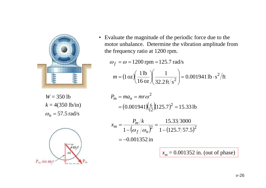

*W* = 350 lb  $k = 4(350 \text{ lb/in})$  $\omega_n = 57.5$  rad/s



• Evaluate the magnitude of the periodic force due to the motor unbalance. Determine the vibration amplitude from the frequency ratio at 1200 rpm.

$$
\omega_f = \omega = 1200 \text{ rpm} = 125.7 \text{ rad/s}
$$

$$
m = (1 \text{ oz}) \left( \frac{1 \text{ lb}}{16 \text{ oz}} \right) \left( \frac{1}{32.2 \text{ ft/s}^2} \right) = 0.001941 \text{ lb} \cdot \text{s}^2/\text{ft}
$$

$$
P_m = ma_n = mr\omega^2
$$
  
= (0.001941)( $\frac{6}{12}$ )(125.7)<sup>2</sup> = 15.33 lb

$$
x_m = \frac{P_m/k}{1 - (\omega_f/\omega_n)^2} = \frac{15.33/3000}{1 - (125.7/57.5)^2}
$$
  
= -0.001352 in

 $x_m = 0.001352$  in. (out of phase)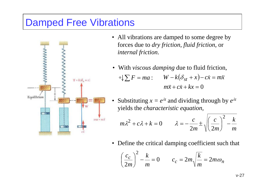### Damped Free Vibrations



- All vibrations are damped to some degree by forces due to *dry friction*, *fluid friction*, or *internal friction*.
- With *viscous damping* due to fluid friction,  $\sum F = ma:$   $W - k(\delta_{st} + x)$  $m\ddot{x}+c\dot{x}+kx=0$  $W - k(\delta_{st} + x) - c\dot{x} = m\ddot{x}$
- Substituting  $x = e^{\lambda t}$  and dividing through by  $e^{\lambda t}$ yields the *characteristic equation*,

$$
m\lambda^2 + c\lambda + k = 0 \qquad \lambda = -\frac{c}{2m} \pm \sqrt{\left(\frac{c}{2m}\right)^2 - \frac{k}{m}}
$$

• Define the critical damping coefficient such that

$$
\left(\frac{c_c}{2m}\right)^2 - \frac{k}{m} = 0 \qquad c_c = 2m\sqrt{\frac{k}{m}} = 2m\omega_n
$$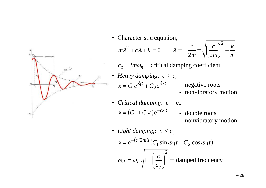

• Characteristic equation,

$$
m\lambda^2 + c\lambda + k = 0 \qquad \lambda = -\frac{c}{2m} \pm \sqrt{\left(\frac{c}{2m}\right)^2 - \frac{k}{m}}
$$

 $c_c = 2m\omega_n$  = critical damping coefficient

- *Heavy damping:*  $c > c_c$  $x = C_1 e^{\lambda_1 t} + C_2 e^{\lambda_2 t}$  - negative roots - nonvibratory motion
- *Critical damping*:  $c = c_c$  $x = (C_1 + C_2 t) e^{-\omega_n t}$  - double roots
	-
	- nonvibratory motion
- *Light damping:*  $c < c_c$  $x = e^{-(c/2m)t} (C_1 \sin \omega_d t + C_2 \cos \omega_d t)$ = $\omega_d = \omega_n \sqrt{1 - \left(\frac{c}{c_c}\right)^2} =$  damped frequency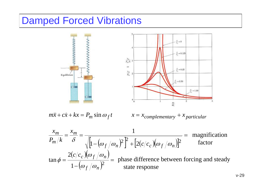### Damped Forced Vibrations

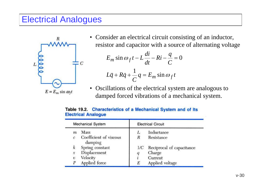### Electrical Analogues



• Consider an electrical circuit consisting of an inductor, resistor and capacitor with a source of alternating voltage

$$
E_m \sin \omega_f t - L\frac{di}{dt} - Ri - \frac{q}{C} = 0
$$
  

$$
L\ddot{q} + R\dot{q} + \frac{1}{C}q = E_m \sin \omega_f t
$$

• Oscillations of the electrical system are analogous to damped forced vibrations of a mechanical system.

| Mechanical System |                                   | <b>Electrical Circuit</b> |                           |  |
|-------------------|-----------------------------------|---------------------------|---------------------------|--|
| m                 | Mass                              |                           | Inductance                |  |
| $\mathcal{C}$     | Coefficient of viscous<br>damping | R                         | Resistance                |  |
| k                 | Spring constant                   | l/C                       | Reciprocal of capacitance |  |
| x                 | Displacement                      | 9                         | Charge                    |  |
| $\upsilon$        | Velocity                          |                           | Current                   |  |
| P                 | Applied force                     | E                         | Applied voltage           |  |

#### Characteristics of a Mechanical System and of Its **Table 19.2. Flectrical Analogue**

*C*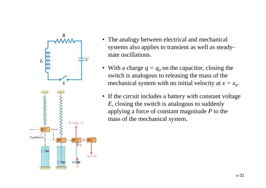

- The analogy between electrical and mechanical systems also applies to transient as well as steadystate oscillations.
- With a charge  $q = q_0$  on the capacitor, closing the switch is analogous to releasing the mass of the mechanical system with no initial velocity at  $x = x_0$ .
- If the circuit includes a battery with constant voltage *E*, closing the switch is analogous to suddenly applying a force of constant magnitude *P* to the mass of the mechanical system.